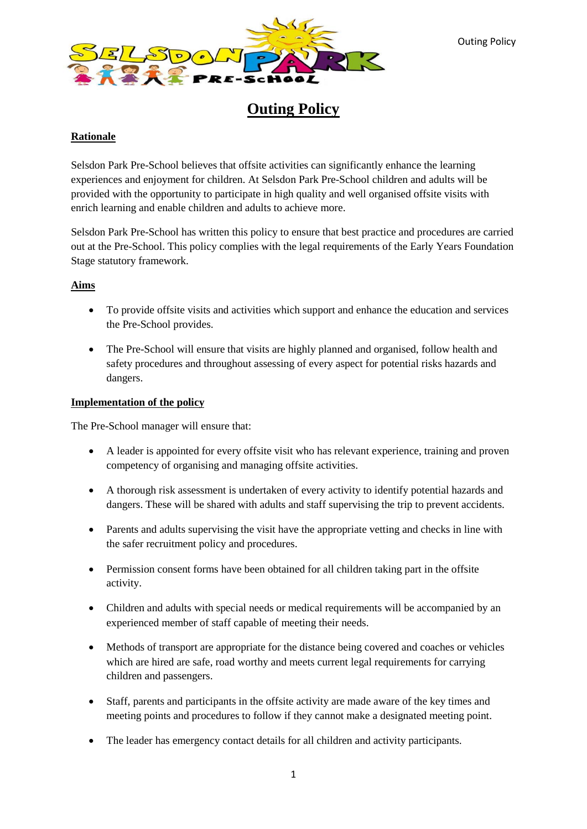

**Outing Policy**

# **Rationale**

Selsdon Park Pre-School believes that offsite activities can significantly enhance the learning experiences and enjoyment for children. At Selsdon Park Pre-School children and adults will be provided with the opportunity to participate in high quality and well organised offsite visits with enrich learning and enable children and adults to achieve more.

Selsdon Park Pre-School has written this policy to ensure that best practice and procedures are carried out at the Pre-School. This policy complies with the legal requirements of the Early Years Foundation Stage statutory framework.

## **Aims**

- To provide offsite visits and activities which support and enhance the education and services the Pre-School provides.
- The Pre-School will ensure that visits are highly planned and organised, follow health and safety procedures and throughout assessing of every aspect for potential risks hazards and dangers.

# **Implementation of the policy**

The Pre-School manager will ensure that:

- A leader is appointed for every offsite visit who has relevant experience, training and proven competency of organising and managing offsite activities.
- A thorough risk assessment is undertaken of every activity to identify potential hazards and dangers. These will be shared with adults and staff supervising the trip to prevent accidents.
- Parents and adults supervising the visit have the appropriate vetting and checks in line with the safer recruitment policy and procedures.
- Permission consent forms have been obtained for all children taking part in the offsite activity.
- Children and adults with special needs or medical requirements will be accompanied by an experienced member of staff capable of meeting their needs.
- Methods of transport are appropriate for the distance being covered and coaches or vehicles which are hired are safe, road worthy and meets current legal requirements for carrying children and passengers.
- Staff, parents and participants in the offsite activity are made aware of the key times and meeting points and procedures to follow if they cannot make a designated meeting point.
- The leader has emergency contact details for all children and activity participants.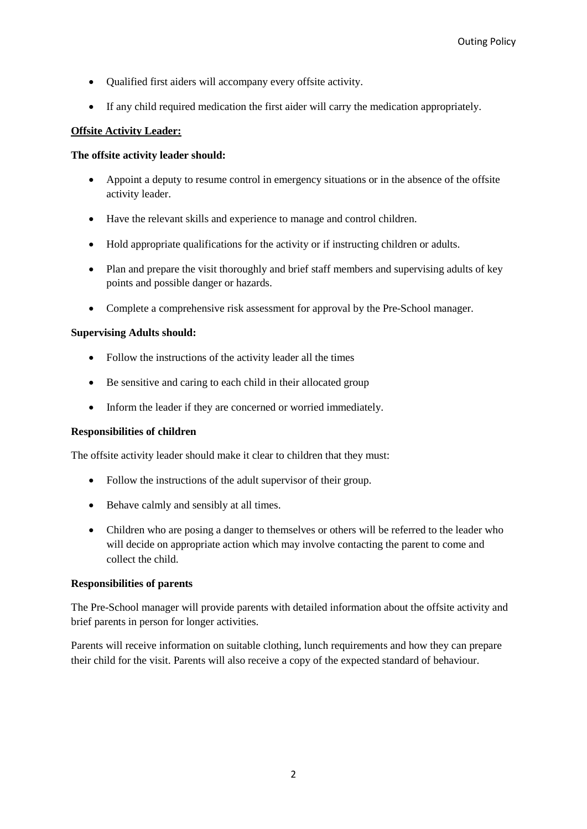- Qualified first aiders will accompany every offsite activity.
- If any child required medication the first aider will carry the medication appropriately.

### **Offsite Activity Leader:**

## **The offsite activity leader should:**

- Appoint a deputy to resume control in emergency situations or in the absence of the offsite activity leader.
- Have the relevant skills and experience to manage and control children.
- Hold appropriate qualifications for the activity or if instructing children or adults.
- Plan and prepare the visit thoroughly and brief staff members and supervising adults of key points and possible danger or hazards.
- Complete a comprehensive risk assessment for approval by the Pre-School manager.

## **Supervising Adults should:**

- Follow the instructions of the activity leader all the times
- Be sensitive and caring to each child in their allocated group
- Inform the leader if they are concerned or worried immediately.

### **Responsibilities of children**

The offsite activity leader should make it clear to children that they must:

- Follow the instructions of the adult supervisor of their group.
- Behave calmly and sensibly at all times.
- Children who are posing a danger to themselves or others will be referred to the leader who will decide on appropriate action which may involve contacting the parent to come and collect the child.

### **Responsibilities of parents**

The Pre-School manager will provide parents with detailed information about the offsite activity and brief parents in person for longer activities.

Parents will receive information on suitable clothing, lunch requirements and how they can prepare their child for the visit. Parents will also receive a copy of the expected standard of behaviour.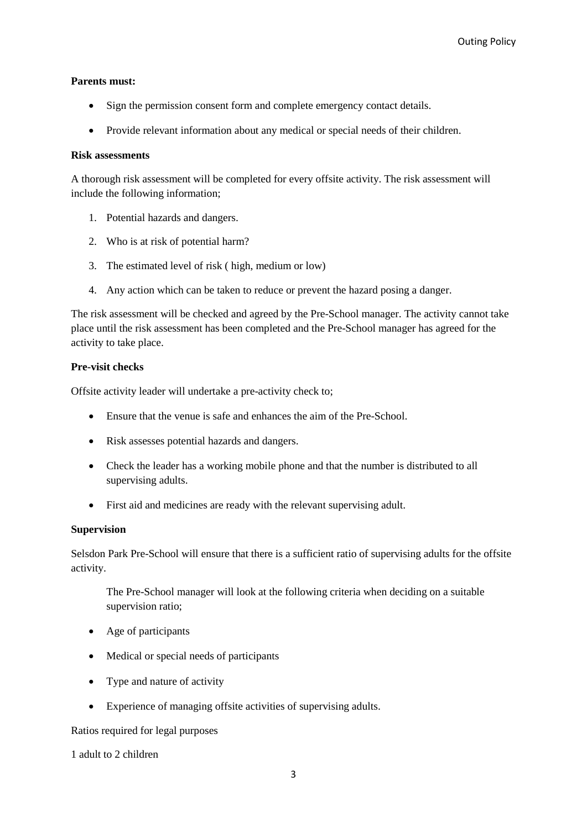### **Parents must:**

- Sign the permission consent form and complete emergency contact details.
- Provide relevant information about any medical or special needs of their children.

#### **Risk assessments**

A thorough risk assessment will be completed for every offsite activity. The risk assessment will include the following information;

- 1. Potential hazards and dangers.
- 2. Who is at risk of potential harm?
- 3. The estimated level of risk ( high, medium or low)
- 4. Any action which can be taken to reduce or prevent the hazard posing a danger.

The risk assessment will be checked and agreed by the Pre-School manager. The activity cannot take place until the risk assessment has been completed and the Pre-School manager has agreed for the activity to take place.

#### **Pre-visit checks**

Offsite activity leader will undertake a pre-activity check to;

- Ensure that the venue is safe and enhances the aim of the Pre-School.
- Risk assesses potential hazards and dangers.
- Check the leader has a working mobile phone and that the number is distributed to all supervising adults.
- First aid and medicines are ready with the relevant supervising adult.

### **Supervision**

Selsdon Park Pre-School will ensure that there is a sufficient ratio of supervising adults for the offsite activity.

The Pre-School manager will look at the following criteria when deciding on a suitable supervision ratio;

- Age of participants
- Medical or special needs of participants
- Type and nature of activity
- Experience of managing offsite activities of supervising adults.

Ratios required for legal purposes

1 adult to 2 children